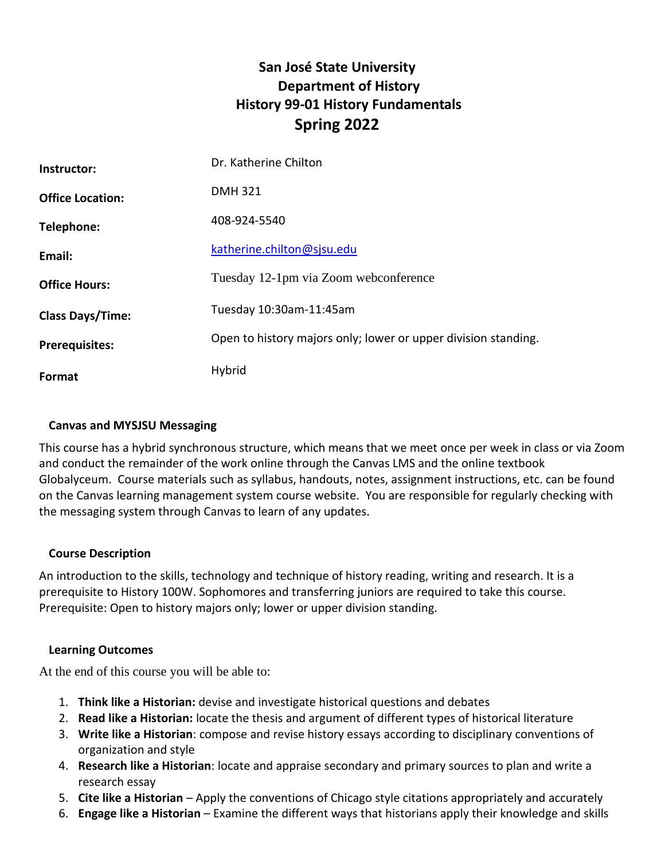# **San José State University Department of History History 99-01 History Fundamentals Spring 2022**

| Instructor:             | Dr. Katherine Chilton                                          |  |
|-------------------------|----------------------------------------------------------------|--|
| <b>Office Location:</b> | <b>DMH321</b>                                                  |  |
| Telephone:              | 408-924-5540                                                   |  |
| Email:                  | katherine.chilton@sjsu.edu                                     |  |
| <b>Office Hours:</b>    | Tuesday 12-1pm via Zoom webconference                          |  |
| <b>Class Days/Time:</b> | Tuesday 10:30am-11:45am                                        |  |
| <b>Prerequisites:</b>   | Open to history majors only; lower or upper division standing. |  |
| <b>Format</b>           | Hybrid                                                         |  |

# **Canvas and MYSJSU Messaging**

This course has a hybrid synchronous structure, which means that we meet once per week in class or via Zoom and conduct the remainder of the work online through the Canvas LMS and the online textbook Globalyceum. Course materials such as syllabus, handouts, notes, assignment instructions, etc. can be found on the Canvas learning management system course website. You are responsible for regularly checking with the messaging system through Canvas to learn of any updates.

# **Course Description**

An introduction to the skills, technology and technique of history reading, writing and research. It is a prerequisite to History 100W. Sophomores and transferring juniors are required to take this course. Prerequisite: Open to history majors only; lower or upper division standing.

# **Learning Outcomes**

At the end of this course you will be able to:

- 1. **Think like a Historian:** devise and investigate historical questions and debates
- 2. **Read like a Historian:** locate the thesis and argument of different types of historical literature
- 3. **Write like a Historian**: compose and revise history essays according to disciplinary conventions of organization and style
- 4. **Research like a Historian**: locate and appraise secondary and primary sources to plan and write a research essay
- 5. **Cite like a Historian** Apply the conventions of Chicago style citations appropriately and accurately
- 6. **Engage like a Historian** Examine the different ways that historians apply their knowledge and skills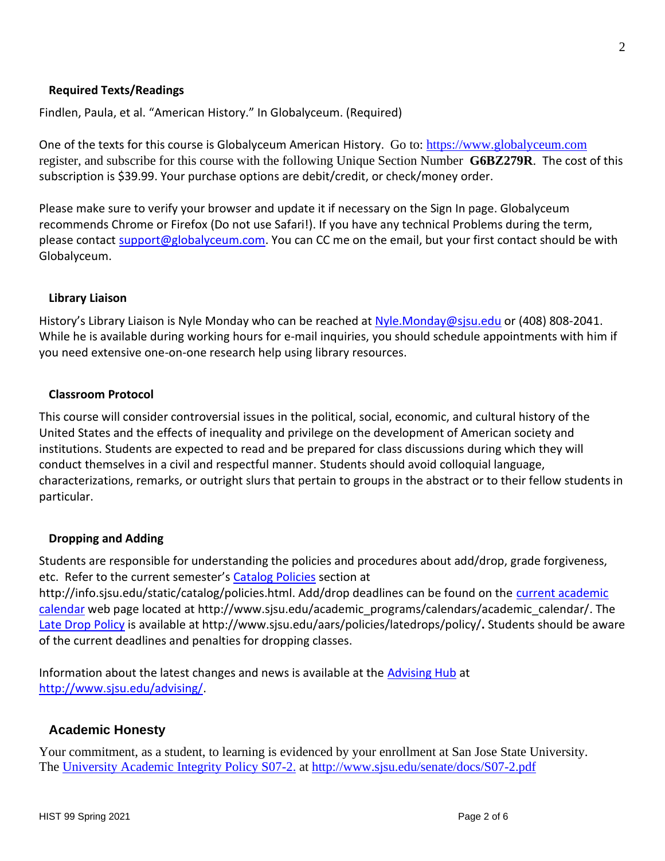# **Required Texts/Readings**

Findlen, Paula, et al. "American History." In Globalyceum. (Required)

One of the texts for this course is Globalyceum American History. Go to: [https://www.globalyceum.com](https://www.globalyceum.com/) register, and subscribe for this course with the following Unique Section Number **G6BZ279R**. The cost of this subscription is \$39.99. Your purchase options are debit/credit, or check/money order.

Please make sure to verify your browser and update it if necessary on the Sign In page. Globalyceum recommends Chrome or Firefox (Do not use Safari!). If you have any technical Problems during the term, please contact [support@globalyceum.com.](mailto:support@globalyceum.com) You can CC me on the email, but your first contact should be with Globalyceum.

# **Library Liaison**

History's Library Liaison is Nyle Monday who can be reached at [Nyle.Monday@sjsu.edu](mailto:Nyle.Monday@sjsu.edu) or (408) 808-2041. While he is available during working hours for e-mail inquiries, you should schedule appointments with him if you need extensive one-on-one research help using library resources.

### **Classroom Protocol**

This course will consider controversial issues in the political, social, economic, and cultural history of the United States and the effects of inequality and privilege on the development of American society and institutions. Students are expected to read and be prepared for class discussions during which they will conduct themselves in a civil and respectful manner. Students should avoid colloquial language, characterizations, remarks, or outright slurs that pertain to groups in the abstract or to their fellow students in particular.

#### **Dropping and Adding**

Students are responsible for understanding the policies and procedures about add/drop, grade forgiveness, etc. Refer to the current semester's [Catalog Policies](http://info.sjsu.edu/static/catalog/policies.html) section at

http://info.sjsu.edu/static/catalog/policies.html. Add/drop deadlines can be found on the [current academic](http://www.sjsu.edu/academic_programs/calendars/academic_calendar/)  [calendar](http://www.sjsu.edu/academic_programs/calendars/academic_calendar/) web page located at http://www.sjsu.edu/academic\_programs/calendars/academic\_calendar/. The [Late Drop Policy](http://www.sjsu.edu/aars/policies/latedrops/policy/) is available at http://www.sjsu.edu/aars/policies/latedrops/policy/**.** Students should be aware of the current deadlines and penalties for dropping classes.

Information about the latest changes and news is available at the [Advising Hub](http://www.sjsu.edu/advising/) at [http://www.sjsu.edu/advising/.](http://www.sjsu.edu/advising/)

# **Academic Honesty**

Your commitment, as a student, to learning is evidenced by your enrollment at San Jose State University. The [University Academic Integrity Policy S07-2.](https://d.docs.live.net/acaf7a21f33d12d1/Documents/SJSU/170S/Syllabi/University%20Academic%20Integrity%20Policy%20S07-2.) at<http://www.sjsu.edu/senate/docs/S07-2.pdf>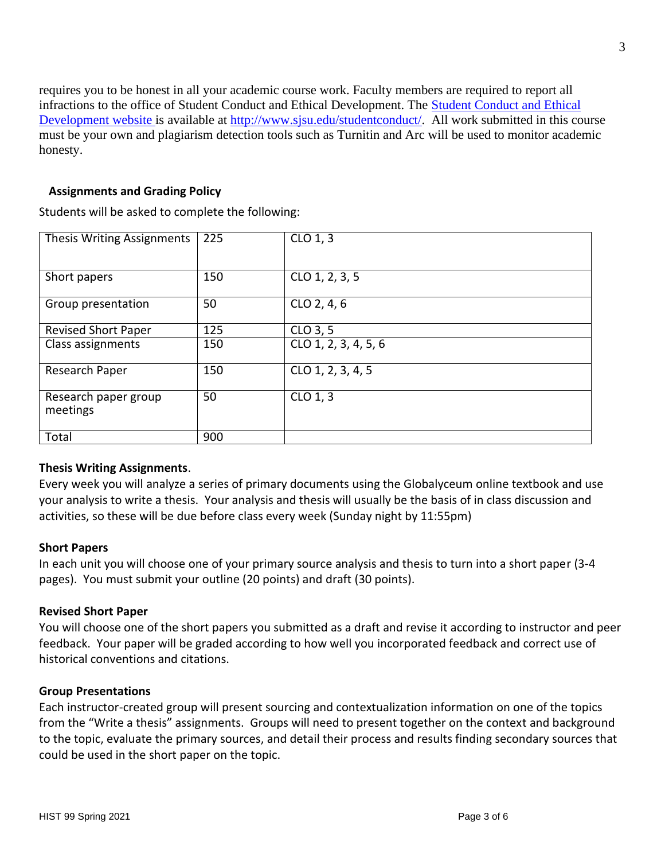requires you to be honest in all your academic course work. Faculty members are required to report all infractions to the office of Student Conduct and Ethical Development. The [Student Conduct and Ethical](https://d.docs.live.net/acaf7a21f33d12d1/Documents/SJSU/170S/Syllabi/Student%20Conduct%20and%20Ethical%20Development%20website )  [Development website](https://d.docs.live.net/acaf7a21f33d12d1/Documents/SJSU/170S/Syllabi/Student%20Conduct%20and%20Ethical%20Development%20website ) is available at [http://www.sjsu.edu/studentconduct/.](http://www.sjsu.edu/studentconduct/) All work submitted in this course must be your own and plagiarism detection tools such as Turnitin and Arc will be used to monitor academic honesty.

# **Assignments and Grading Policy**

Students will be asked to complete the following:

| Thesis Writing Assignments       | 225 | CLO 1, 3             |
|----------------------------------|-----|----------------------|
| Short papers                     | 150 | CLO 1, 2, 3, 5       |
| Group presentation               | 50  | CLO 2, 4, 6          |
| <b>Revised Short Paper</b>       | 125 | CLO 3, 5             |
| Class assignments                | 150 | CLO 1, 2, 3, 4, 5, 6 |
| Research Paper                   | 150 | CLO 1, 2, 3, 4, 5    |
| Research paper group<br>meetings | 50  | CLO 1, 3             |
| Total                            | 900 |                      |

# **Thesis Writing Assignments**.

Every week you will analyze a series of primary documents using the Globalyceum online textbook and use your analysis to write a thesis. Your analysis and thesis will usually be the basis of in class discussion and activities, so these will be due before class every week (Sunday night by 11:55pm)

# **Short Papers**

In each unit you will choose one of your primary source analysis and thesis to turn into a short paper (3-4 pages). You must submit your outline (20 points) and draft (30 points).

#### **Revised Short Paper**

You will choose one of the short papers you submitted as a draft and revise it according to instructor and peer feedback. Your paper will be graded according to how well you incorporated feedback and correct use of historical conventions and citations.

#### **Group Presentations**

Each instructor-created group will present sourcing and contextualization information on one of the topics from the "Write a thesis" assignments. Groups will need to present together on the context and background to the topic, evaluate the primary sources, and detail their process and results finding secondary sources that could be used in the short paper on the topic.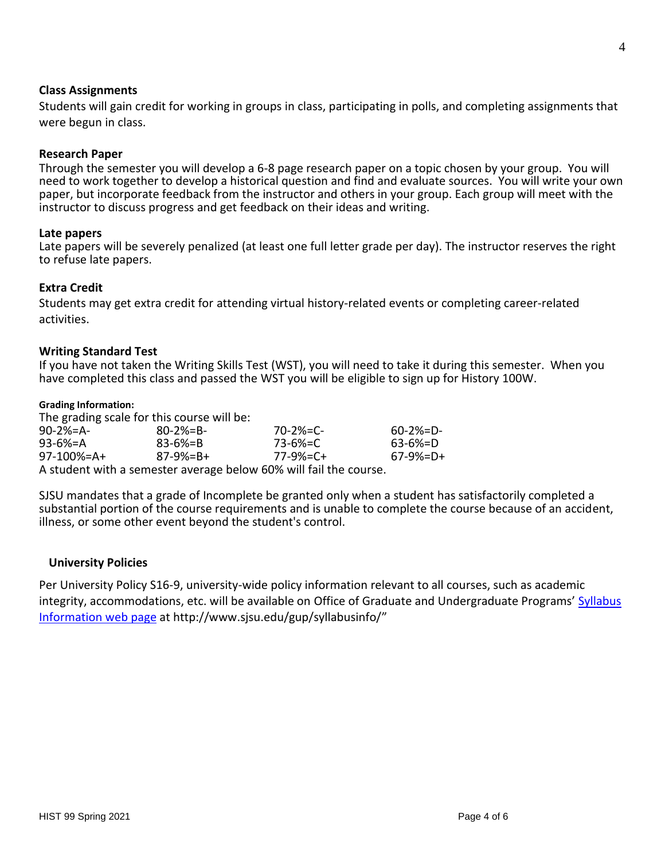#### **Class Assignments**

Students will gain credit for working in groups in class, participating in polls, and completing assignments that were begun in class.

#### **Research Paper**

Through the semester you will develop a 6-8 page research paper on a topic chosen by your group. You will need to work together to develop a historical question and find and evaluate sources. You will write your own paper, but incorporate feedback from the instructor and others in your group. Each group will meet with the instructor to discuss progress and get feedback on their ideas and writing.

#### **Late papers**

Late papers will be severely penalized (at least one full letter grade per day). The instructor reserves the right to refuse late papers.

#### **Extra Credit**

Students may get extra credit for attending virtual history-related events or completing career-related activities.

#### **Writing Standard Test**

If you have not taken the Writing Skills Test (WST), you will need to take it during this semester. When you have completed this class and passed the WST you will be eligible to sign up for History 100W.

#### **Grading Information:**

The grading scale for this course will be:

| $90 - 2\% = A$                                                    | $80 - 2\% = B -$ | $70 - 2\% = C$ | $60 - 2\% = D -$ |  |  |
|-------------------------------------------------------------------|------------------|----------------|------------------|--|--|
| 93-6%=A                                                           | $83 - 6\% = B$   | 73-6%=C        | $63 - 6\% = D$   |  |  |
| $97-100% = A+$                                                    | $87-9% = B +$    | 77-9%=C+       | $67-9%=D+$       |  |  |
| A student with a semester average below 60% will fail the course. |                  |                |                  |  |  |

SJSU mandates that a grade of Incomplete be granted only when a student has satisfactorily completed a substantial portion of the course requirements and is unable to complete the course because of an accident, illness, or some other event beyond the student's control.

#### **University Policies**

Per University Policy S16-9, university-wide policy information relevant to all courses, such as academic integrity, accommodations, etc. will be available on Office of Graduate and Undergraduate Programs' [Syllabus](http://www.sjsu.edu/gup/syllabusinfo/)  [Information](http://www.sjsu.edu/gup/syllabusinfo/) web page at http://www.sjsu.edu/gup/syllabusinfo/"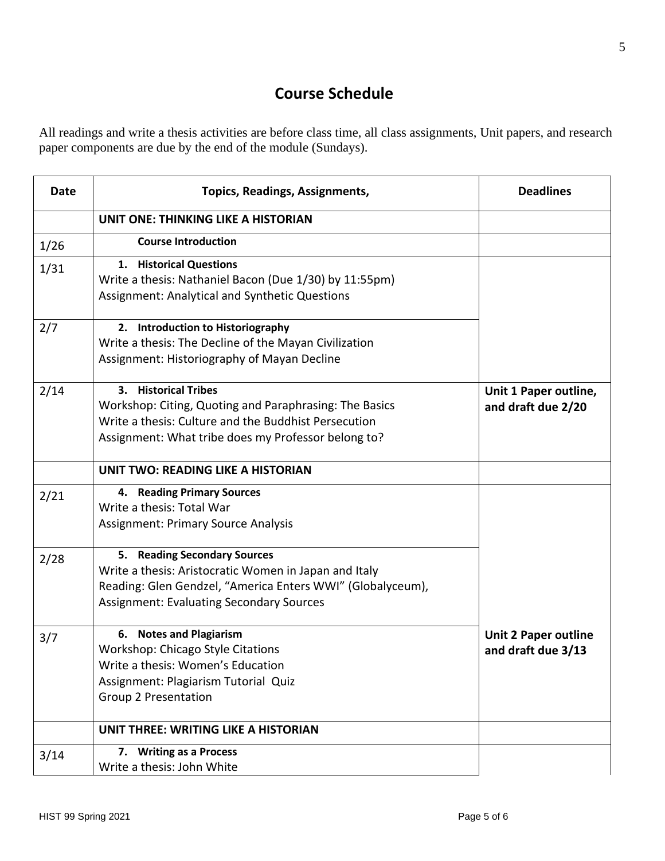# **Course Schedule**

All readings and write a thesis activities are before class time, all class assignments, Unit papers, and research paper components are due by the end of the module (Sundays).

| <b>Date</b> | <b>Topics, Readings, Assignments,</b>                                                                                                                                                                  | <b>Deadlines</b>                                  |
|-------------|--------------------------------------------------------------------------------------------------------------------------------------------------------------------------------------------------------|---------------------------------------------------|
|             | <b>UNIT ONE: THINKING LIKE A HISTORIAN</b>                                                                                                                                                             |                                                   |
| 1/26        | <b>Course Introduction</b>                                                                                                                                                                             |                                                   |
| 1/31        | 1. Historical Questions<br>Write a thesis: Nathaniel Bacon (Due 1/30) by 11:55pm)<br><b>Assignment: Analytical and Synthetic Questions</b>                                                             |                                                   |
| 2/7         | 2. Introduction to Historiography<br>Write a thesis: The Decline of the Mayan Civilization<br>Assignment: Historiography of Mayan Decline                                                              |                                                   |
| 2/14        | 3. Historical Tribes<br>Workshop: Citing, Quoting and Paraphrasing: The Basics<br>Write a thesis: Culture and the Buddhist Persecution<br>Assignment: What tribe does my Professor belong to?          | Unit 1 Paper outline,<br>and draft due 2/20       |
|             | <b>UNIT TWO: READING LIKE A HISTORIAN</b>                                                                                                                                                              |                                                   |
| 2/21        | 4. Reading Primary Sources<br>Write a thesis: Total War<br><b>Assignment: Primary Source Analysis</b>                                                                                                  |                                                   |
| 2/28        | 5. Reading Secondary Sources<br>Write a thesis: Aristocratic Women in Japan and Italy<br>Reading: Glen Gendzel, "America Enters WWI" (Globalyceum),<br><b>Assignment: Evaluating Secondary Sources</b> |                                                   |
| 3/7         | 6. Notes and Plagiarism<br><b>Workshop: Chicago Style Citations</b><br>Write a thesis: Women's Education<br>Assignment: Plagiarism Tutorial Quiz<br><b>Group 2 Presentation</b>                        | <b>Unit 2 Paper outline</b><br>and draft due 3/13 |
|             | UNIT THREE: WRITING LIKE A HISTORIAN                                                                                                                                                                   |                                                   |
| 3/14        | 7. Writing as a Process<br>Write a thesis: John White                                                                                                                                                  |                                                   |